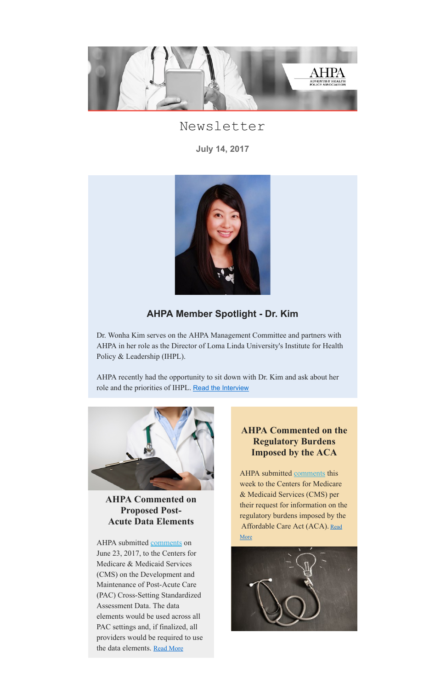

# Newsletter

July 14, 2017



# AHPA Member Spotlight - Dr. Kim

AHPA recently had the opportunity to sit down with Dr. Kim and ask about her role and the priorities of IHPL. Read the [Interview](http://mailchi.mp/73a968ca8ef4/june-ahpa-newsletter-1023105?e=[UNIQID]#Regulatory Burdens)

Dr. Wonha Kim serves on the AHPA Management Committee and partners with AHPA in her role as the Director of Loma Linda University's Institute for Health Policy & Leadership (IHPL).



AHPA Commented on

### Proposed Post-Acute Data Elements

AHPA submitted [comments](https://gallery.mailchimp.com/af5ce00be334b3111d2bea2c4/files/9e1f3da0-b8d4-4b77-ac9a-2f17bb8794c2/PAC_comments.pdf) on June 23, 2017, to the Centers for Medicare & Medicaid Services (CMS) on the Development and Maintenance of Post-Acute Care (PAC) Cross-Setting Standardized Assessment Data. The data elements would be used across all PAC settings and, if finalized, all providers would be required to use the data elements. Read [More](http://mailchi.mp/73a968ca8ef4/june-ahpa-newsletter-1023105?e=[UNIQID]#Post-acute data)

### AHPA Commented on the Regulatory Burdens Imposed by the ACA

AHPA submitted [comments](https://gallery.mailchimp.com/af5ce00be334b3111d2bea2c4/files/ff71712d-6bdb-42f4-b59b-ea5b11bc7470/AHPA_Comments_on_Regulatory_Burden.pdf) this week to the Centers for Medicare & Medicaid Services (CMS) per their request for information on the regulatory burdens imposed by the [Affordable](http://mailchi.mp/73a968ca8ef4/june-ahpa-newsletter-1023105?e=[UNIQID]#Regulatory Burdens) Care Act (ACA). Read

#### More